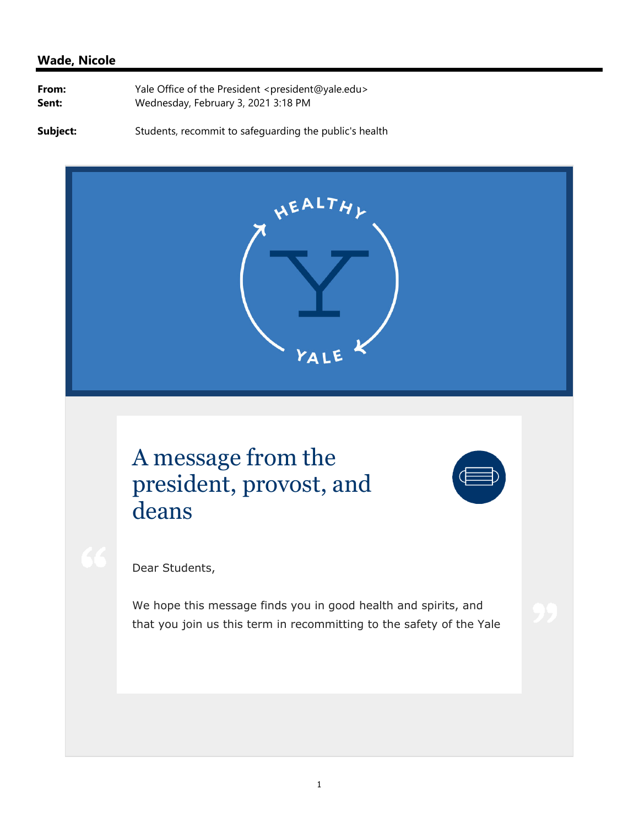## **Wade, Nicole**

| From: | Yale Office of the President <president@yale.edu></president@yale.edu> |
|-------|------------------------------------------------------------------------|
| Sent: | Wednesday, February 3, 2021 3:18 PM                                    |

**Subject:** Students, recommit to safeguarding the public's health



## A message from the president, provost, and deans



Dear Students,

We hope this message finds you in good health and spirits, and that you join us this term in recommitting to the safety of the Yale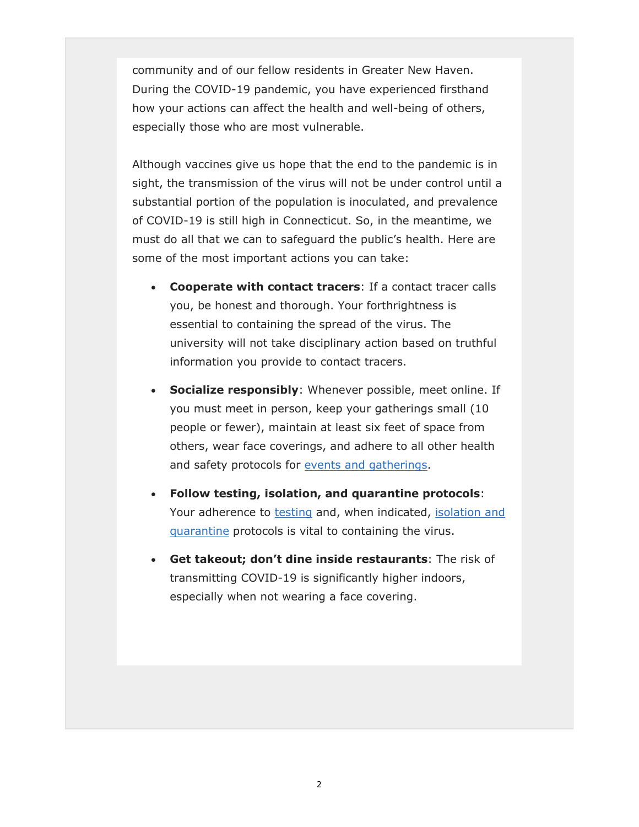community and of our fellow residents in Greater New Haven. During the COVID-19 pandemic, you have experienced firsthand how your actions can affect the health and well-being of others, especially those who are most vulnerable.

Although vaccines give us hope that the end to the pandemic is in sight, the transmission of the virus will not be under control until a substantial portion of the population is inoculated, and prevalence of COVID-19 is still high in Connecticut. So, in the meantime, we must do all that we can to safeguard the public's health. Here are some of the most important actions you can take:

- **Cooperate with contact tracers**: If a contact tracer calls you, be honest and thorough. Your forthrightness is essential to containing the spread of the virus. The university will not take disciplinary action based on truthful information you provide to contact tracers.
- **Socialize responsibly**: Whenever possible, meet online. If you must meet in person, keep your gatherings small (10 people or fewer), maintain at least six feet of space from others, wear face coverings, and adhere to all other health and safety protocols for events and gatherings.
- **Follow testing, isolation, and quarantine protocols**: Your adherence to testing and, when indicated, isolation and quarantine protocols is vital to containing the virus.
- **Get takeout; don't dine inside restaurants**: The risk of transmitting COVID-19 is significantly higher indoors, especially when not wearing a face covering.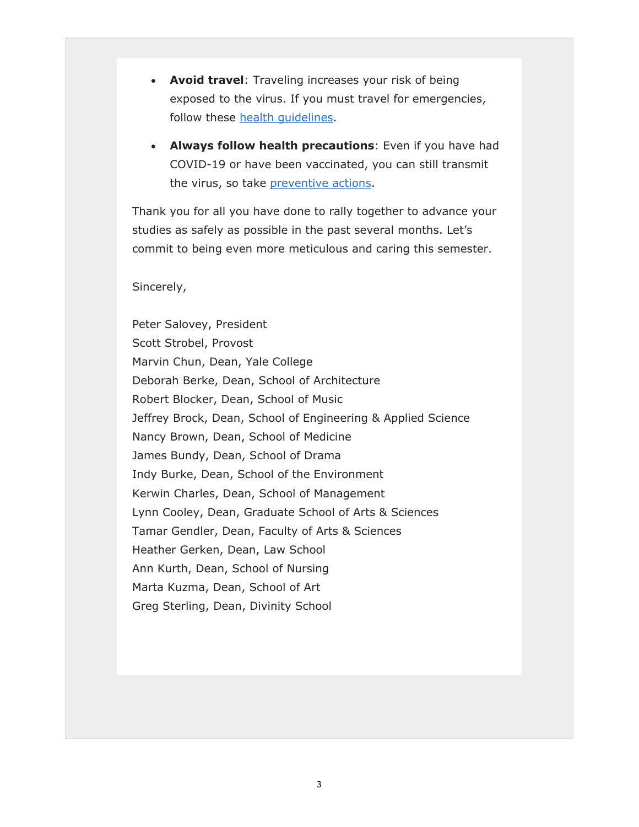- **Avoid travel**: Traveling increases your risk of being exposed to the virus. If you must travel for emergencies, follow these health guidelines.
- **Always follow health precautions**: Even if you have had COVID-19 or have been vaccinated, you can still transmit the virus, so take preventive actions.

Thank you for all you have done to rally together to advance your studies as safely as possible in the past several months. Let's commit to being even more meticulous and caring this semester.

## Sincerely,

Peter Salovey, President Scott Strobel, Provost Marvin Chun, Dean, Yale College Deborah Berke, Dean, School of Architecture Robert Blocker, Dean, School of Music Jeffrey Brock, Dean, School of Engineering & Applied Science Nancy Brown, Dean, School of Medicine James Bundy, Dean, School of Drama Indy Burke, Dean, School of the Environment Kerwin Charles, Dean, School of Management Lynn Cooley, Dean, Graduate School of Arts & Sciences Tamar Gendler, Dean, Faculty of Arts & Sciences Heather Gerken, Dean, Law School Ann Kurth, Dean, School of Nursing Marta Kuzma, Dean, School of Art Greg Sterling, Dean, Divinity School